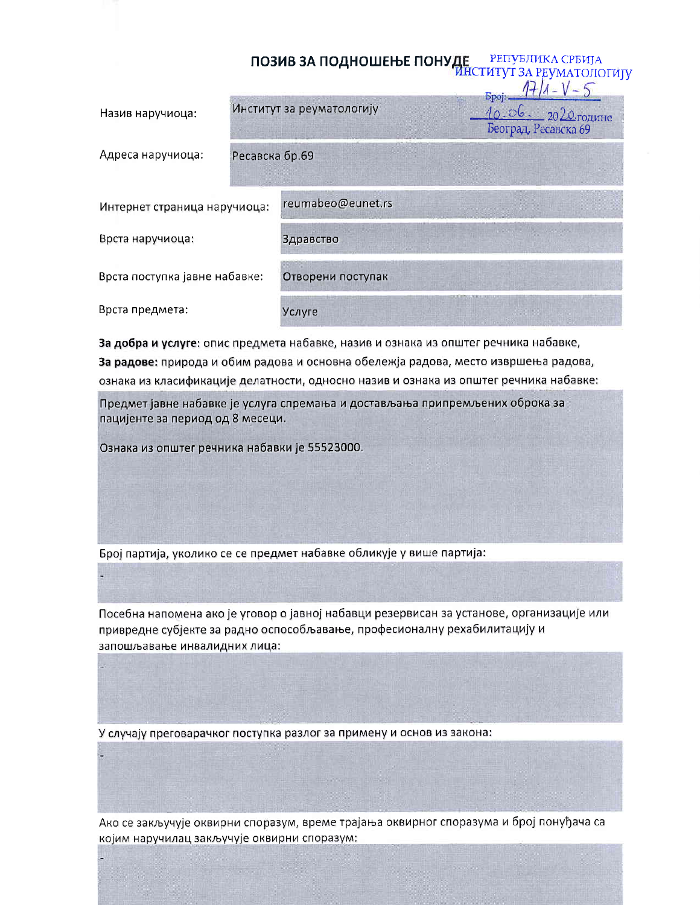|                               |                | ПОЗИВ ЗА ПОДНОШЕЊЕ ПОНУДЕ РЕПУБЛИКА СТРИЈА |                                                            |
|-------------------------------|----------------|--------------------------------------------|------------------------------------------------------------|
| Назив наручиоца:              |                | Институт за реуматологију                  | <b>Spoj:</b><br>10.06. 2020 године<br>Београд, Ресавска 69 |
| Адреса наручиоца:             | Ресавска бр.69 |                                            |                                                            |
| Интернет страница наручиоца:  |                | reumabeo@eunet.rs                          |                                                            |
| Врста наручиоца:              |                | Здравство                                  |                                                            |
| Врста поступка јавне набавке: |                | Отворени поступак                          |                                                            |
| Врста предмета:               |                | Услуге                                     |                                                            |

За добра и услуге: опис предмета набавке, назив и ознака из општег речника набавке, За радове: природа и обим радова и основна обележја радова, место извршења радова, ознака из класификације делатности, односно назив и ознака из општег речника набавке:

Предмет јавне набавке је услуга спремања и достављања припремљених оброка за пацијенте за период од 8 месеци.

Ознака из општег речника набавки је 55523000.

Број партија, уколико се се предмет набавке обликује у више партија:

Посебна напомена ако је уговор о јавној набавци резервисан за установе, организације или привредне субјекте за радно оспособљавање, професионалну рехабилитацију и запошљавање инвалидних лица:

У случају преговарачког поступка разлог за примену и основ из закона:

Ако се закључује оквирни споразум, време трајања оквирног споразума и број понуђача са којим наручилац закључује оквирни споразум: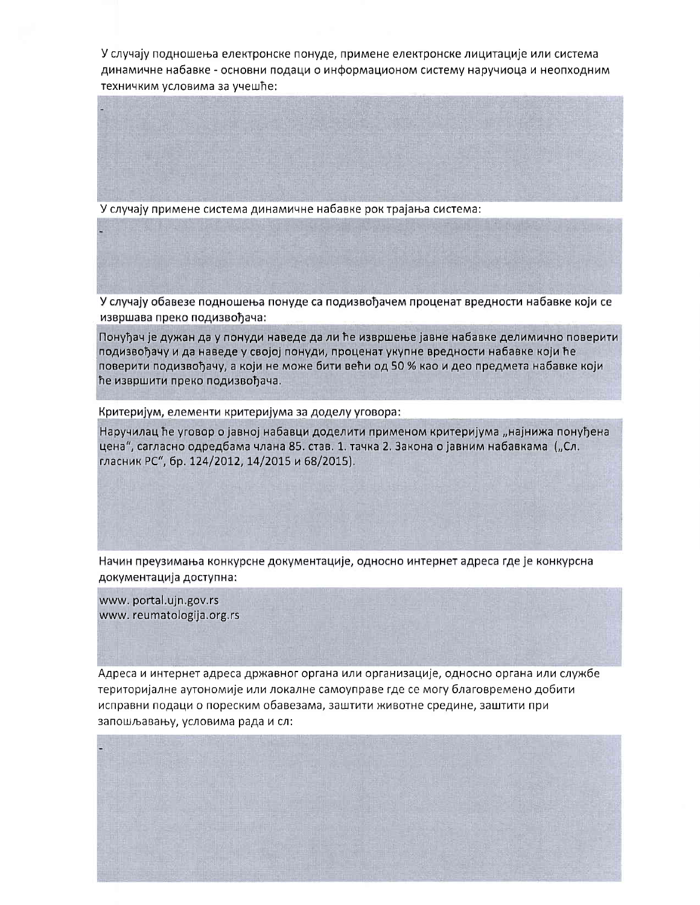У случају подношења електронске понуде, примене електронске лицитације или система динамичне набавке - основни подаци о информационом систему наручиоца и неопходним техничким условима за учешће:

У случају примене система динамичне набавке рок трајања система:

У случају обавезе подношења понуде са подизвођачем проценат вредности набавке који се извршава преко подизвођача:

Понуђач је дужан да у понуди наведе да ли ће извршење јавне набавке делимично поверити подизвођачу и да наведе у својој понуди, проценат укупне вредности набавке који ће поверити подизвођачу, а који не може бити већи од 50 % као и део предмета набавке који ће извршити преко подизвођача.

Критеријум, елементи критеријума за доделу уговора:

Наручилац ће уговор о јавној набавци доделити применом критеријума "најнижа понуђена цена", сагласно одредбама члана 85. став. 1. тачка 2. Закона о јавним набавкама ("Сл. гласник РС", бр. 124/2012, 14/2015 и 68/2015).

Начин преузимања конкурсне документације, односно интернет адреса где је конкурсна документација доступна:

www.portal.ujn.gov.rs www.reumatologija.org.rs

Адреса и интернет адреса државног органа или организације, односно органа или службе територијалне аутономије или локалне самоуправе где се могу благовремено добити исправни подаци о пореским обавезама, заштити животне средине, заштити при запошљавању, условима рада и сл: